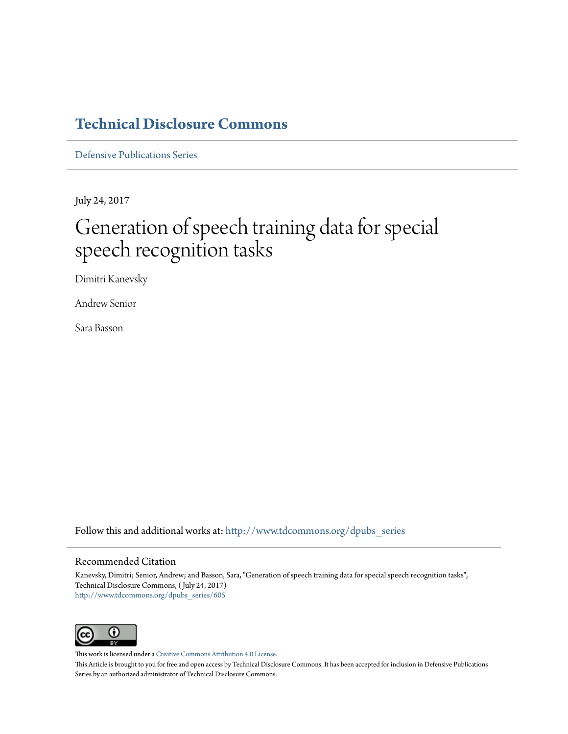## **[Technical Disclosure Commons](http://www.tdcommons.org?utm_source=www.tdcommons.org%2Fdpubs_series%2F605&utm_medium=PDF&utm_campaign=PDFCoverPages)**

[Defensive Publications Series](http://www.tdcommons.org/dpubs_series?utm_source=www.tdcommons.org%2Fdpubs_series%2F605&utm_medium=PDF&utm_campaign=PDFCoverPages)

July 24, 2017

# Generation of speech training data for special speech recognition tasks

Dimitri Kanevsky

Andrew Senior

Sara Basson

Follow this and additional works at: [http://www.tdcommons.org/dpubs\\_series](http://www.tdcommons.org/dpubs_series?utm_source=www.tdcommons.org%2Fdpubs_series%2F605&utm_medium=PDF&utm_campaign=PDFCoverPages)

#### Recommended Citation

Kanevsky, Dimitri; Senior, Andrew; and Basson, Sara, "Generation of speech training data for special speech recognition tasks", Technical Disclosure Commons, ( July 24, 2017) [http://www.tdcommons.org/dpubs\\_series/605](http://www.tdcommons.org/dpubs_series/605?utm_source=www.tdcommons.org%2Fdpubs_series%2F605&utm_medium=PDF&utm_campaign=PDFCoverPages)



This work is licensed under a [Creative Commons Attribution 4.0 License.](http://creativecommons.org/licenses/by/4.0/deed.en_US)

This Article is brought to you for free and open access by Technical Disclosure Commons. It has been accepted for inclusion in Defensive Publications Series by an authorized administrator of Technical Disclosure Commons.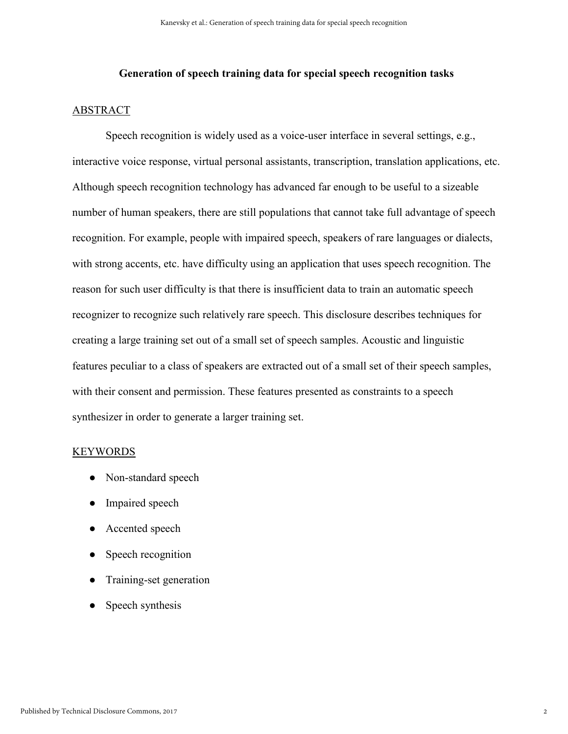#### **Generation of speech training data for special speech recognition tasks**

#### ABSTRACT

Speech recognition is widely used as a voice-user interface in several settings, e.g., interactive voice response, virtual personal assistants, transcription, translation applications, etc. Although speech recognition technology has advanced far enough to be useful to a sizeable number of human speakers, there are still populations that cannot take full advantage of speech recognition. For example, people with impaired speech, speakers of rare languages or dialects, with strong accents, etc. have difficulty using an application that uses speech recognition. The reason for such user difficulty is that there is insufficient data to train an automatic speech recognizer to recognize such relatively rare speech. This disclosure describes techniques for creating a large training set out of a small set of speech samples. Acoustic and linguistic features peculiar to a class of speakers are extracted out of a small set of their speech samples, with their consent and permission. These features presented as constraints to a speech synthesizer in order to generate a larger training set.

#### KEYWORDS

- Non-standard speech
- Impaired speech
- Accented speech
- Speech recognition
- Training-set generation
- Speech synthesis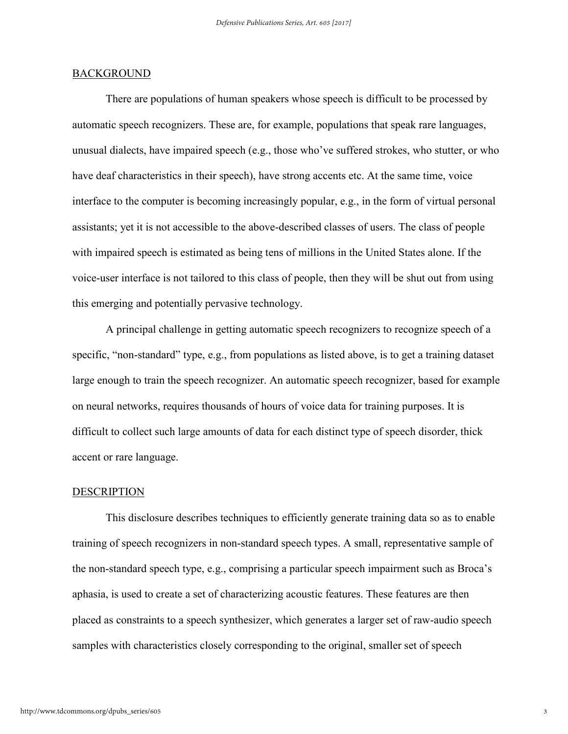#### BACKGROUND

There are populations of human speakers whose speech is difficult to be processed by automatic speech recognizers. These are, for example, populations that speak rare languages, unusual dialects, have impaired speech (e.g., those who've suffered strokes, who stutter, or who have deaf characteristics in their speech), have strong accents etc. At the same time, voice interface to the computer is becoming increasingly popular, e.g., in the form of virtual personal assistants; yet it is not accessible to the above-described classes of users. The class of people with impaired speech is estimated as being tens of millions in the United States alone. If the voice-user interface is not tailored to this class of people, then they will be shut out from using this emerging and potentially pervasive technology.

A principal challenge in getting automatic speech recognizers to recognize speech of a specific, "non-standard" type, e.g., from populations as listed above, is to get a training dataset large enough to train the speech recognizer. An automatic speech recognizer, based for example on neural networks, requires thousands of hours of voice data for training purposes. It is difficult to collect such large amounts of data for each distinct type of speech disorder, thick accent or rare language.

#### **DESCRIPTION**

This disclosure describes techniques to efficiently generate training data so as to enable training of speech recognizers in non-standard speech types. A small, representative sample of the non-standard speech type, e.g., comprising a particular speech impairment such as Broca's aphasia, is used to create a set of characterizing acoustic features. These features are then placed as constraints to a speech synthesizer, which generates a larger set of raw-audio speech samples with characteristics closely corresponding to the original, smaller set of speech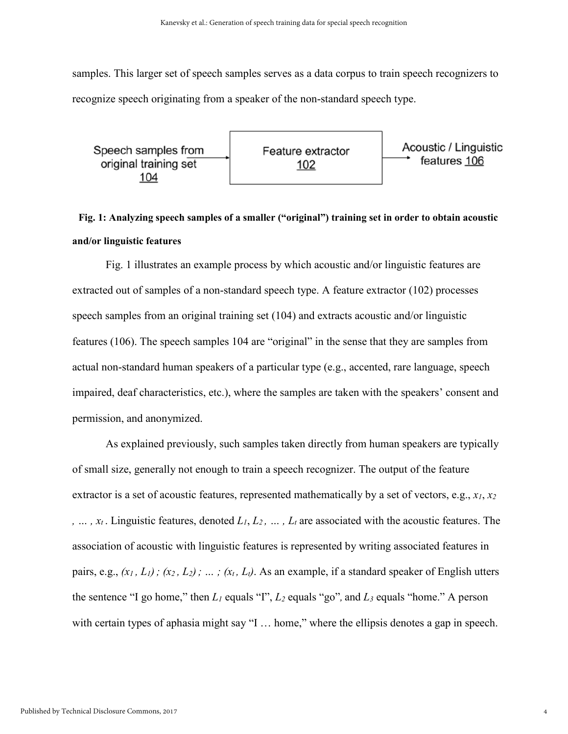samples. This larger set of speech samples serves as a data corpus to train speech recognizers to recognize speech originating from a speaker of the non-standard speech type.



## **Fig. 1: Analyzing speech samples of a smaller ("original") training set in order to obtain acoustic and/or linguistic features**

Fig. 1 illustrates an example process by which acoustic and/or linguistic features are extracted out of samples of a non-standard speech type. A feature extractor (102) processes speech samples from an original training set (104) and extracts acoustic and/or linguistic features (106). The speech samples 104 are "original" in the sense that they are samples from actual non-standard human speakers of a particular type (e.g., accented, rare language, speech impaired, deaf characteristics, etc.), where the samples are taken with the speakers' consent and permission, and anonymized.

As explained previously, such samples taken directly from human speakers are typically of small size, generally not enough to train a speech recognizer. The output of the feature extractor is a set of acoustic features, represented mathematically by a set of vectors, e.g., *x1*, *x<sup>2</sup> , … , xt* . Linguistic features, denoted *L1*, *L2 , … , Lt* are associated with the acoustic features. The association of acoustic with linguistic features is represented by writing associated features in pairs, e.g.,  $(x_1, L_1)$ ;  $(x_2, L_2)$ ; …;  $(x_t, L_t)$ . As an example, if a standard speaker of English utters the sentence "I go home," then  $L_1$  equals "I",  $L_2$  equals "go", and  $L_3$  equals "home." A person with certain types of aphasia might say "I ... home," where the ellipsis denotes a gap in speech.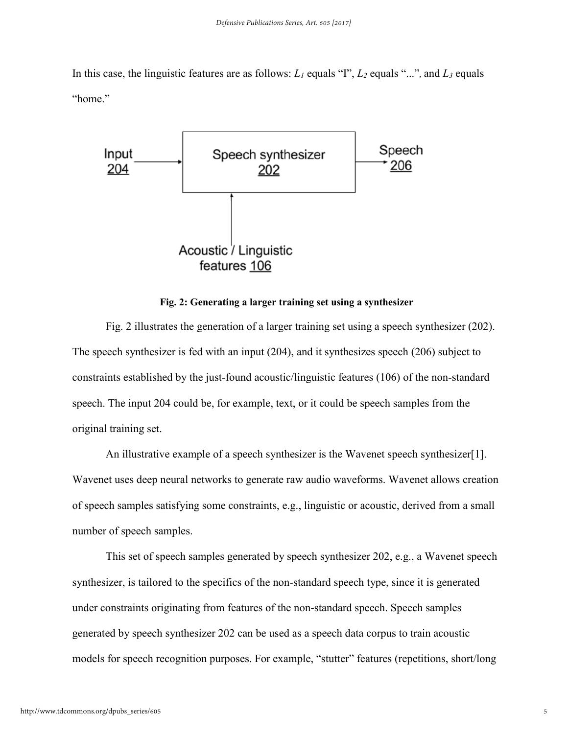In this case, the linguistic features are as follows: *L<sup>1</sup>* equals "I", *L<sup>2</sup>* equals "..."*,* and *L<sup>3</sup>* equals "home."



#### **Fig. 2: Generating a larger training set using a synthesizer**

Fig. 2 illustrates the generation of a larger training set using a speech synthesizer (202). The speech synthesizer is fed with an input (204), and it synthesizes speech (206) subject to constraints established by the just-found acoustic/linguistic features (106) of the non-standard speech. The input 204 could be, for example, text, or it could be speech samples from the original training set.

An illustrative example of a speech synthesizer is the Wavenet speech synthesizer[1]. Wavenet uses deep neural networks to generate raw audio waveforms. Wavenet allows creation of speech samples satisfying some constraints, e.g., linguistic or acoustic, derived from a small number of speech samples.

This set of speech samples generated by speech synthesizer 202, e.g., a Wavenet speech synthesizer, is tailored to the specifics of the non-standard speech type, since it is generated under constraints originating from features of the non-standard speech. Speech samples generated by speech synthesizer 202 can be used as a speech data corpus to train acoustic models for speech recognition purposes. For example, "stutter" features (repetitions, short/long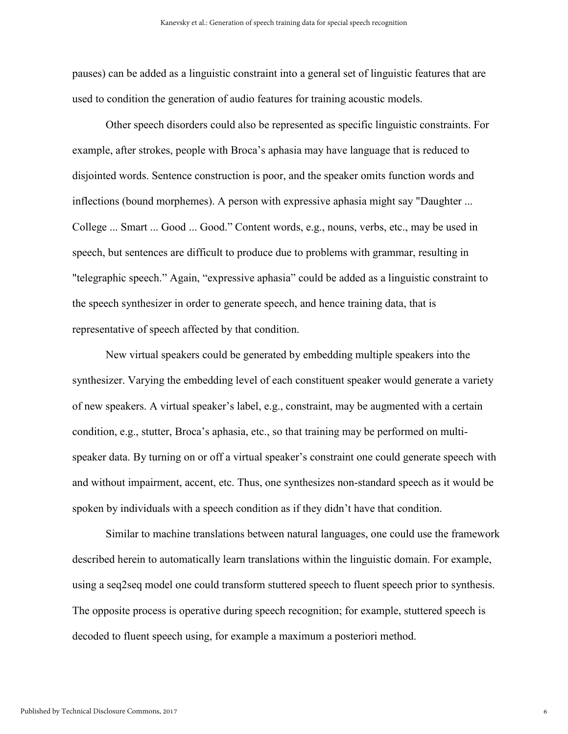pauses) can be added as a linguistic constraint into a general set of linguistic features that are used to condition the generation of audio features for training acoustic models.

Other speech disorders could also be represented as specific linguistic constraints. For example, after strokes, people with Broca's aphasia may have language that is reduced to disjointed words. Sentence construction is poor, and the speaker omits function words and inflections (bound morphemes). A person with expressive aphasia might say "Daughter ... College ... Smart ... Good ... Good." Content words, e.g., nouns, verbs, etc., may be used in speech, but sentences are difficult to produce due to problems with grammar, resulting in "telegraphic speech." Again, "expressive aphasia" could be added as a linguistic constraint to the speech synthesizer in order to generate speech, and hence training data, that is representative of speech affected by that condition.

New virtual speakers could be generated by embedding multiple speakers into the synthesizer. Varying the embedding level of each constituent speaker would generate a variety of new speakers. A virtual speaker's label, e.g., constraint, may be augmented with a certain condition, e.g., stutter, Broca's aphasia, etc., so that training may be performed on multispeaker data. By turning on or off a virtual speaker's constraint one could generate speech with and without impairment, accent, etc. Thus, one synthesizes non-standard speech as it would be spoken by individuals with a speech condition as if they didn't have that condition.

Similar to machine translations between natural languages, one could use the framework described herein to automatically learn translations within the linguistic domain. For example, using a seq2seq model one could transform stuttered speech to fluent speech prior to synthesis. The opposite process is operative during speech recognition; for example, stuttered speech is decoded to fluent speech using, for example a maximum a posteriori method.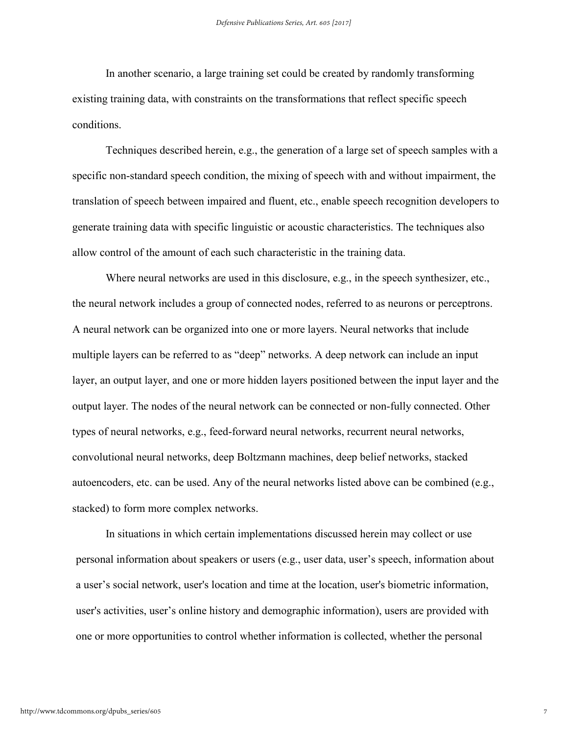In another scenario, a large training set could be created by randomly transforming existing training data, with constraints on the transformations that reflect specific speech conditions.

Techniques described herein, e.g., the generation of a large set of speech samples with a specific non-standard speech condition, the mixing of speech with and without impairment, the translation of speech between impaired and fluent, etc., enable speech recognition developers to generate training data with specific linguistic or acoustic characteristics. The techniques also allow control of the amount of each such characteristic in the training data.

Where neural networks are used in this disclosure, e.g., in the speech synthesizer, etc., the neural network includes a group of connected nodes, referred to as neurons or perceptrons. A neural network can be organized into one or more layers. Neural networks that include multiple layers can be referred to as "deep" networks. A deep network can include an input layer, an output layer, and one or more hidden layers positioned between the input layer and the output layer. The nodes of the neural network can be connected or non-fully connected. Other types of neural networks, e.g., feed-forward neural networks, recurrent neural networks, convolutional neural networks, deep Boltzmann machines, deep belief networks, stacked autoencoders, etc. can be used. Any of the neural networks listed above can be combined (e.g., stacked) to form more complex networks.

In situations in which certain implementations discussed herein may collect or use personal information about speakers or users (e.g., user data, user's speech, information about a user's social network, user's location and time at the location, user's biometric information, user's activities, user's online history and demographic information), users are provided with one or more opportunities to control whether information is collected, whether the personal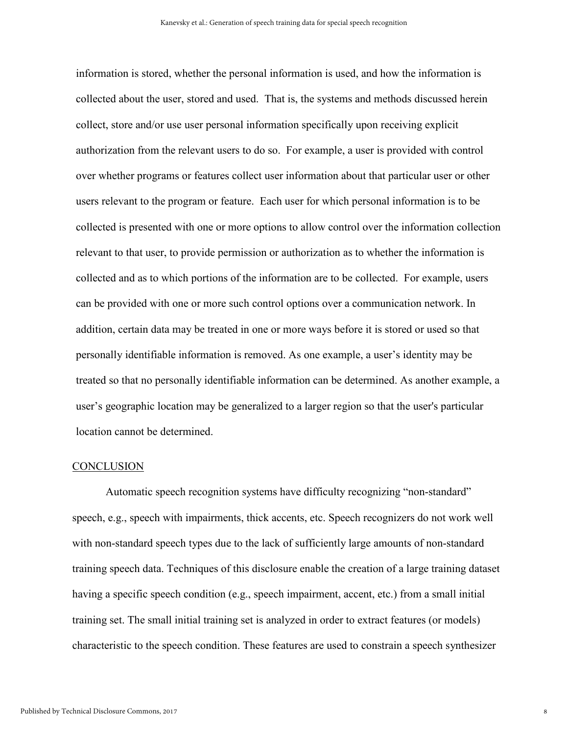information is stored, whether the personal information is used, and how the information is collected about the user, stored and used. That is, the systems and methods discussed herein collect, store and/or use user personal information specifically upon receiving explicit authorization from the relevant users to do so. For example, a user is provided with control over whether programs or features collect user information about that particular user or other users relevant to the program or feature. Each user for which personal information is to be collected is presented with one or more options to allow control over the information collection relevant to that user, to provide permission or authorization as to whether the information is collected and as to which portions of the information are to be collected. For example, users can be provided with one or more such control options over a communication network. In addition, certain data may be treated in one or more ways before it is stored or used so that personally identifiable information is removed. As one example, a user's identity may be treated so that no personally identifiable information can be determined. As another example, a user's geographic location may be generalized to a larger region so that the user's particular location cannot be determined.

#### **CONCLUSION**

Automatic speech recognition systems have difficulty recognizing "non-standard" speech, e.g., speech with impairments, thick accents, etc. Speech recognizers do not work well with non-standard speech types due to the lack of sufficiently large amounts of non-standard training speech data. Techniques of this disclosure enable the creation of a large training dataset having a specific speech condition (e.g., speech impairment, accent, etc.) from a small initial training set. The small initial training set is analyzed in order to extract features (or models) characteristic to the speech condition. These features are used to constrain a speech synthesizer